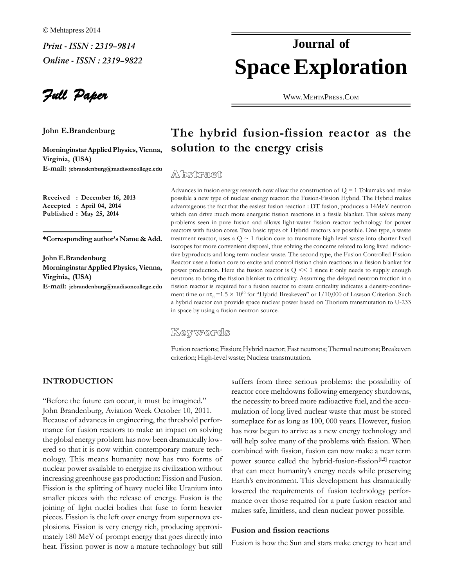Full Paper

 **E.Brandenburg MorninginstarAppliedPhysics,Vienna,**

Morninginstar Applied Physics, Vienna, **S**<br>Virginia. (USA) Virginia, (USA) **jebrandenburg@madisoncollege.edu**

 **: December 16, <sup>2013</sup> Accepted : April 04, <sup>2014</sup> Published : May 25, <sup>2014</sup>**

**authorís Name & Add.**

**E.**<br>Tohn E.Brandenburg Morninginstar Applied Physics, Vienna, Virginia, (USA) **jebrandenburg@madisoncollege.edu**

# **Space Exploration Journal of**

WWW.M[EHTA](http://WWW.MEHTAPRESS.COM)PRESS.COM

# **hybrid fusion-fission reactor as the solution to the energy crisis**

## Abstract

in fusion energy research now allow the construction of  $Q = 1$  Tokamaks and make possible. Advances in fusion energy research now allow the construction of  $Q = 1$  Tokamaks and make<br>possible a new type of nuclear energy reactor: the Fusion-Fission Hybrid. The Hybrid makes possible a new type of nuclear energy reactor: the Fusion-Fission Hybrid. The Hybrid makes advantageous the fact that the easiest fusion reaction : DT fusion, produces a 14MeV neutron problems seen in pure fusion and allows light-water fission reactor technology for power<br>problems seen in pure fusion and allows light-water fission reactor technology for power problems seen in pure fusion and allows light-water fission reactor technology for power<br>reactors with fusion cores. Two basic types of Hybrid reactors are possible. One type, a waste treattors with fusion cores. Two basic types of Hybrid reactors are possible. One type, a waste<br>treatment reactor, uses a  $O \approx 1$  fusion core to transmute high-level waste into shorter-lived treatment reactor, uses a  $Q \sim 1$  fusion core to transmute high-level waste into shorter-lived isotopes for more convenient disposal, thus solving the concerns related to long lived radioactive byproducts and long term nuclear waste. The second type, the Fusion Controlled Fission<br>tive byproducts and long term nuclear waste. The second type, the Fusion Controlled Fission tive byproducts and long term nuclear waste. The second type, the Fusion Controlled Fission Reactor uses a fusion core to excite and control fission chain reactions in a fission blanket for power production. Here the fusion reactor is  $Q \ll 1$  since it only needs to supply enough neutrons to bring the fission blanket to criticality. Assuming the delayed neutron fraction in a fission reactor is required for a fusion reactor to create criticality indicates a density-confine-<br>fission reactor is required for a fusion reactor to create criticality indicates a density-confine-<br>[ment](mailto:jebrandenburg@madisoncollege.edu) time or  $n\tau = 1.$ Exercise of a fusion reactor to create criticality indicates a density-confine-<br>=  $=1.5 \times 10^{10}$  for "Hybrid Breakeven" or  $1/10,000$  of Lawson Criterion. Such ment time or  $n\tau_E = 1.5 \times 10^{10}$  for "Hybrid Breakeven" or  $1/10,000$  of Lawson Criterion. Such a hybrid reactor can provide space nuclear power based on Thorium transmutation to U-233 a hybrid reactor can provide space nuclear po<br>in space by using a fusion neutron source.

### Keywords

reactions; Fission; Hybrid reactor; Fast neutrons; Thermal neutrons; Breakeven criterion; High-level waste; Nuclear transmutation.

THE FUTURE<br>
"Before the future can occur, it must be imagined."<br>
John Brandenburg, Aviation Week October 10, 2011. John Brandenburg, Aviation Week October 10, 2011. Because of advances in engineering, the threshold performance for fusion reactors to make an impact on solving has the global energy problem has now been dramatically lowthe global energy problem has now been dramatically lowered so that it is now within contemporary mature technuclear power available to energize its civilization without<br>nuclear power available to energize its civilization without  $\frac{1}{1}$  increasing greenhouse gas production: Fission and Fusion. Finally  $\frac{1}{1}$ increasing greenhouse gas production: Fission and Fusion. Earth Pieces and President Pieces with the release of energy. Fusion is the monet Forces is the epositing of light nuclei bodies that fuse to form heavier proces. Fission is the left over energy from supernova ex-<br>pieces. Fission is the left over energy from supernova ex-Joining or light nuclei bodies that ruse to form heavier makes safe, limitless, and clean nuclear power possible.<br>pieces. Fission is the left over energy from supernova explosions. Fission is very energy rich, producing approxiheater is now a material power is now a mature technology but still F<br>heat. Fission power is now a mature technology but still

suffers from three serious problems: the possibility of reactor core meltdowns following emergency shutdowns. reactor core meltdowns following emergency shutdowns, the necessity to breed more radioactive fuel, and the accumulation of long lived nuclear waste that must be stored<br>somenlace for as long as 100, 000 years. However, fusion someplace for as long as  $100,000$  years. However, fusion has now begun to arrive as a new energy technology and has now begun to arrive as a new energy technology and will help solve many of the problems with fission. When<br>combined with fission, fusion can now make a near term combined with fission, fusion can now make a near term<br>power source called the hybrid-fusion-fission<sup>[1,2]</sup> reactor power source called the hybrid-fusion-fission<sup>[1,2]</sup> reactor<br>that can meet humanity's energy needs while preserving .<br>that can meet humanity's energy needs while preserving<br>Earth's environment. This development has dramatically Earth's environment. This development has dramatically<br>lowered the requirements of fusion technology perforlowered the requirements of fusion technology performance over those required for a pure fusion reactor and<br>makes safe, limitless, and clean nuclear power possible.

# **and fission reactions** Fusion

Fusion is how the Sun and stars make energy to heat and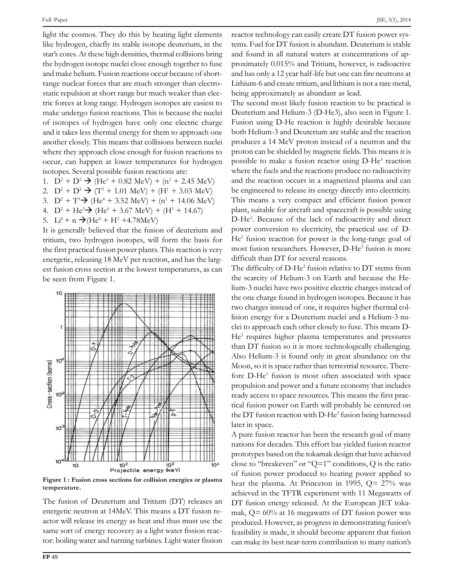JSE, 3(1), 2014

Full Paper<br>light the cosmos. They do this by heating light elements react<br>like hydrogen, chiefly its stable isotope deuterium, in the tems. star's cores. At these high densities, thermal collisions bring and for the star's cores. At these high densities, thermal collisions bring and for the hydrogen isotope nuclei close enough together to fuse and the hydrogen isotope nuclei close enough together to fuse proxi and securities in the helium. Fusion reactions occur because of short-<br>and make helium. Fusion reactions occur because of shortand make helium. Fusion reactions occur because of short-<br>range nuclear forces that are much stronger than electrorange nuclear forces that are much stronger than electro-<br>
static repulsion at short range but much weaker than elec-<br>
tric forces at long range. Hydrogen isotopes are easiest to The se make undergo fusion reactions. This is because the nuclei D<br>make undergo fusion reactions. This is because the nuclei D make undergo fusion reactions. This is because the nuclei Deut<br>of isotopes of hydrogen have only one electric charge Fusic and it takes less thermal energy for them to approach one both and it takes less thermal energy for them to approach one band that collisions between nuclei p another closely. This means that collisions between nuclei where they approach close enough for fusion reactions to proton<br>occur, can happen at lower temperatures for hydrogen possible If the case of the second possible fusion reactions are:<br>1. Several possible fusion reactions are:  $\Delta$ <br>opes. Several possible fusion reactions are:<br> $D^2 + D^2 \rightarrow (He^3 + 0.82 \text{ MeV}) + (n^1 + 2.$ Sociopes. Several possible fusion reactions are:<br>
1.  $D^2 + D^2 \rightarrow (He^3 + 0.82 \text{ MeV}) + (n^1 + 2.45 \text{ MeV})$ <br>
2.  $D^2 + D^2 \rightarrow (T^3 + 1.01 \text{ MeV}) + (H^1 + 3.03 \text{ MeV})$ 

- 1.  $D^2 + D^2 \rightarrow (He^3 + 0.82 \text{ MeV}) + (n^1 + 2.45 \text{ MeV})$ <br>
2.  $D^2 + D^2 \rightarrow (T^3 + 1.01 \text{ MeV}) + (H^1 + 3.03 \text{ MeV})$ <br>
3.  $D^2 + T^3 \rightarrow (He^4 + 3.52 \text{ MeV}) + (n^1 + 14.06 \text{ MeV})$
- 2.  $D^2 + D^2 \rightarrow (T^3 + 1.01 \text{ MeV}) + (H^1 + 3.03 \text{ MeV})$ <br>
3.  $D^2 + T^3 \rightarrow (He^4 + 3.52 \text{ MeV}) + (n^1 + 14.06 \text{ MeV})$ <br>
4.  $D^2 + He^3 \rightarrow (He^4 + 3.67 \text{ MeV}) + (H^1 + 14.67)$
- 
- 4.  $D^2 + He^3$  +  $(He^4 + 3.67 \text{ MeV}) + (H^1)$ <br>5.  $Li^6 + n$  +  $(He^4 + H^3 + 4.78 \text{ MeV})$
- 5. Li<sup>6</sup> + n  $\rightarrow$  (He<sup>4</sup> + H<sup>3</sup> +4.78MeV)

5. Li<sup>6</sup> + n  $\rightarrow$  (He<sup>4</sup> + H<sup>3</sup> +4.78MeV) D-He<sup>3</sup>.<br>It is generally believed that the fusion of deuterium and power<br>tritium, two hydrogen isotopes, will form the basis for He<sup>3</sup> fus tritium, two hydrogen isotopes, will form the basis for  $He^{3}$  the first practical fusion power plants. This reaction is very most the first practical fusion power plants. This reaction is very modern represent releasing 18 MeV per reaction, and has the largenergetic, releasing 18 MeV per reaction, and has the largbe seen from Figure 1.<br>be seen from Figure 1.



temperature.

temperature.<br>
The fusion of Deuterium and Tritium (DT) releases an EDT fusion<br>
energetic neutron at 14MeV. This means a DT fusion re- angle C energetic neutron at 14MeV. This means a DT fusion re- $\frac{1}{2}$  actor will release its energy as heat and thus must use the p same sort of energy recovery as a light water fission reactor: boiling water and turning turbines. Light water fission reactor: boiling water and turning turbines. Light water fission

JSE, 3(1), 2014<br>
reactor technology can easily create DT fusion power sys-<br>
tems. Fuel for DT fusion is abundant. Deuterium is stable tems. Fuel for DT fusion is abundant. Deuterium is stable<br>and found in all natural waters at concentrations of apand found in all natural waters at concentrations of approximately  $0.015\%$  and Tritium, however, is radioactive<br>and has only a 12 year half-life but one can fire neutrons at read has only a 12 year half-life but one can fire neutrons at<br>Lithium-6 and create tritium, and lithium is not a rare metal, Lithium-6 and create tritium, and lithium is not a rare metal, being approximately as abundant as lead.

being approximately as abundant as lead.<br>The second most likely fusion reaction to be practical is<br>Deuterium and Helium-3 (D-He3), also seen in Figure 1. Deuterium and Helium-3 (D-He3), also seen in Figure 1. both Helium-3 and Deuterium are stable and the reaction<br>both Helium-3 and Deuterium are stable and the reaction produces a 14 MeV proton instead of a neutron and the reaction produces a 14 MeV proton instead of a neutron and the proton can be shielded by magnetic fields. This means it is proton can be shielded by magnetic fields. This means it is<br>proton can be shielded by magnetic fields. This means it is process that the contribution of imaginary and the reactions produce no radioactivity<br>where the fuels and the reactions produce no radioactivity where the fuels and the reactions produce no radioactivity<br>and the reaction occurs in a magnetized plasma and can and the reaction occurs in a magnetized plasma and can<br>be engineered to release its energy directly into electricity. be engineered to release its energy directly into electricity. plant, suitable for aircraft and spacecraft is possible using<br>plant, suitable for aircraft and spacecraft is possible using Find Health at the system and centerly chosen power<br>plant, suitable for aircraft and spacecraft is possible using<br>D-He<sup>3</sup>. Because of the lack of radioactivity and direct pana, change for an equipment of processive power and g<br>D-He<sup>3</sup>. Because of the lack of radioactivity and direct<br>power conversion to electricity, the practical use of Dmost fusion researchers. However, D-He<sup>3</sup> fusion is more<br>most fusion researchers. However, D-He<sup>3</sup> fusion is more For a state of the late of characterity and different<br>wer conversion to electricity, the practical use of D-<br><sup>3</sup> fusion reaction for power is the long-range goal of difficult than DT for several reasons.<br>difficult than DT for several reasons. cult than DT for several reditional results.<br>difficulty of D-He<sup>3</sup> fusion

relative to DT stems from the scarcit of D-He<sup>3</sup> fusion relative to DT stems from<br>the scarcity of Helium-3 on Earth and because the Hethe scarcity of Helium-3 on Earth and because the He-<br>lium-3 nuclei have two positive electric charges instead of the one charge found in hydrogen isotopes. Because it has the one charge found in hydrogen isotopes. Because it has<br>two charges instead of one, it requires higher thermal col-List the comparison of the anti-term of the state of the state of the state of the state of the state of the list of the list of the list of the state of the state of the state of the state of the state of the state of the lision energy for a Deuterium nuclei and a Helium-3 nu- $He<sup>3</sup>$  requires higher plasma temperatures and pressures than DT fusion so it is more technologically challenging. to approach each other closely to fuse. This means D-<br><sup>3</sup> requires higher plasma temperatures and pressures than DT fusion so it is more technologically challenging. Moon, so it is space rather than terrestrial resource. There-<br>Moon, so it is space rather than terrestrial resource. There- $\alpha$ , so it is space rather than terrestrial resource. There-<br>D-He<sup>3</sup> fusion is most often associated with space fore  $D$ -He<sup>3</sup> fusion is most often associated with space<br>propulsion and power and a future economy that includes propulsion and power and a future economy that includes ready access to space resources. This means the first practical fusion power on Earth will probably be centered on<br>tical fusion power on Earth will probably be centered on tical fusion power on Earth will probably be centered on<br>the DT fusion reaction with  $D-He^3$  fusion being harnessed the DT fusion read<br>later in space.

later in space.<br>A pure fusion reactor has been the research goal of many<br>nations for decades. This effort has yielded fusion reactor prototypes based on the tokamak design that have achieved<br>prototypes based on the tokamak design that have achieved prototypes based on the tokamak design that have achieved<br>close to "breakeven" or "O=1" conditions. Q is the ratio close to "breakeven" or "Q=1" conditions, Q is the ratio<br>of fusion power produced to heating power applied to of fusion power produced to heating power applied to<br>heat the plasma. At Princeton in 1995,  $Q = 27\%$  was heat the plasma. At Princeton in 1995,  $Q = 27\%$  was<br>achieved in the TFTR experiment with 11 Megawatts of achieved in the TFTR experiment with 11 Megawatts of<br>DT fusion energy released. At the European IET toka-DT fusion energy released. At the European JET tokamak,  $Q = 60\%$  at 16 megawatts of DT fusion power was<br>produced. However, as progress in demonstrating fusion's produced. However, as progress in demonstrating fusion's<br>feasibility is made, it should become apparent that fusion Example its made, it should become apparent that fusion<br>can make its best near-term contribution to many nation's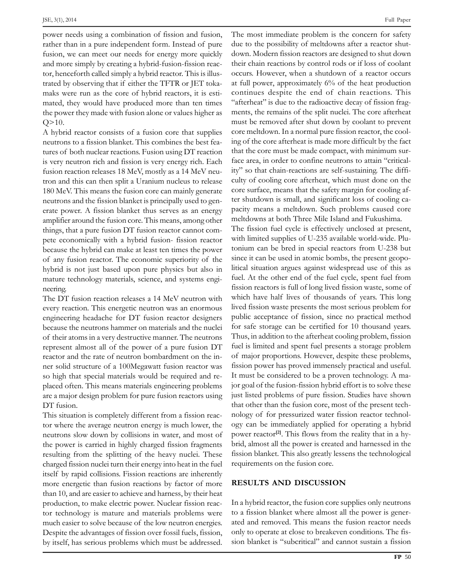JSE, 3(1), 2014<br>needs using a combination of fission and fusion. T needs using a combination of fission and fusion, The<br>than in a pure independent form. Instead of pure due t fusion, we can meet our needs for energy more quickly down FIRE THE MORE SIMPLE SIMPLE SIMPLE SIMPLE SIMPLE SIMPLE SIMPLE SIMPLE SIMPLE SIMPLE SIMPLE SIMPLE SIMPLE SIMPLE SIMPLE SIMPLE SIMPLE SIMPLE SIMPLE SIMPLE SIMPLE SIMPLE SIMPLE SIMPLE SIMPLE SIMPLE SIMPLE SIMPLE SIMPLE SIMPL and more simply by creating a hybrid-fusion-fission reactor.<br>tor, henceforth called simply a hybrid reactor. This is illustor, henceforth called simply a hybrid reactor. This is illus-<br>trated by observing that if either the TFTR or JET tokatrated by observing that if either the TFTR or JET tokamaks were run as the core of hybrid reactors, it is estithe power they would have produced more than ten times "afternoone" afternated, they would have produced more than ten times "afternative they made with fusion alone or values higher as men the power they made with fusion alone or values higher as  $Q > 10$ .

mus<br>
Q>10. mus<br>
A hybrid reactor consists of a fusion core that supplies core<br>
neutrons to a fission blanket. This combines the best feaneutrons to a fission blanket. This combines the best fea-<br>tures of both nuclear reactions. Fusion using DT reaction that the tures of both nuclear reactions. Fusion using DT reaction that the<br>is very neutron rich and fission is very energy rich. Each face are is very neutron rich and fission is very energy rich. Each face :<br>fusion reaction releases 18 MeV, mostly as a 14 MeV neufusion reaction releases 18 MeV, mostly as a 14 MeV neu-<br>tron and this can then split a Uranium nucleus to release culty tron and this can then split a Uranium nucleus to release culty<br>180 MeV. This means the fusion core can mainly generate core neutrons and the fission blanket is principally used to genneutrons and the fission blanket is principally used to generate power. A fission blanket thus serves as an energy packarding packard power. A fission blanket thus serves as an energy packarding power amplifier around the fusion core. This means, among other methings, that a pure fusion DT fusion reactor cannot comthings, that a pure fusion  $DT$  fusion reactor cannot combecause the hybrid can make at least ten times the power with<br>because the hybrid can make at least ten times the power ton procession and a superior reactor reactor.<br>
Secause the hybrid can make at least ten times the power toniu<br>
of any fusion reactor. The economic superiority of the since of any fusion reactor. The economic superiority of the since it<br>hybrid is not just based upon pure physics but also in litical s hybrid is not just based upon pure physics but also in litius<br>mature technology materials, science, and systems engimature technology materials, science, and systems engi-<br>neering.

meering.<br>
The DT fusion reaction releases a 14 MeV neutron with which<br>
every reaction. This energetic neutron was an enormous lived fi every reaction. This energetic neutron was an enormous lived<br>engineering headache for DT fusion reactor designers pub because the neutrons hammer on materials and the nuclei for the neutrons hammer on materials and the nuclei formula of their atoms in a very destructive manner. The neutrons Thursday of their atoms in a very destructive manner. The neutrons Thu of their atoms in a very destructive manner. The neutrons Thus, in represent almost all of the power of a pure fusion DT fuel is lir represent almost all of the power of a pure fusion DT fue<br>reactor and the rate of neutron bombardment on the inreactor and the rate of neutron bombardment on the inner solid structure of a 100Megawatt fusion reactor was fiss<br>so high that special materials would be required and reso high that special materials would be required and replaced often. This means materials engineering problems jor go<br>are a major design problem for pure fusion reactors using just li are a major desi<br>DT fusion.

But that of<br>
This situation is completely different from a fission reac-<br>
tor where the average neutron energy is much lower, the ogy tor where the average neutron energy is much lower, the ogy<br>neutrons slow down by collisions in water, and most of poy the power is carried in highly charged fission fragments brid<br>the power is carried in highly charged fission fragments brid resulting from the splitting of the heavy nuclei. These fission fragments brid, resulting from the splitting of the heavy nuclei. These fission resulting from the splitting of the heavy nuclei. These fi<br>charged fission nuclei turn their energy into heat in the fuel charged fission nuclei turn their energy into heat in the fuel required itself by rapid collisions. Fission reactions are inherently itself by rapid collisions. Fission reactions are inherently<br>more energetic than fusion reactions by factor of more than 10, and are easier to achieve and harness, by their heat<br>than 10, and are easier to achieve and harness, by their heat production, to make electric power. Nuclear fission reac-<br>production, to make electric power. Nuclear fission reacproduction, to make electric power. Nuclear fission reac-<br>tor technology is mature and materials problems were to a much easier to solve because of the low neutron energies. a much easier to solve because of the low neutron energies. Despite the advantages of fission over fossil fuels, fission, only to operate at close to breakeven conditions. The fis-<br>by itself, has serious problems which must be addressed. sion blanket is "subcritical" and cannot sus

Full Paper<br>The most immediate problem is the concern for safety<br>due to the possibility of meltdowns after a reactor shutdue to the possibility of meltdowns after a reactor shuttheir chain reactions by control rods or if loss of coolant<br>their chain reactions by control rods or if loss of coolant their chain reactions by control rods or if loss of coolant<br>occurs. However, when a shutdown of a reactor occurs at the main concern by contribution of a reactor occurs<br>at full power, approximately 6% of the heat production at full power, approximately 6% of the heat production<br>continues despite the end of chain reactions. This continues despite the end of chain reactions. This "afterheat" is due to the radioactive decay of fission fragmust be and to the multilaters along the must be removed after shut down by coolant to prevent must be removed after shut down by coolant to prevent<br>core meltdown. In a normal pure fission reactor, the cool-Final set the core after the core after  $\frac{1}{2}$  set the core core meltdown. In a normal pure fission reactor, the cool-<br>ing of the core afterheat is made more difficult by the fact that the core afterheat is made more difficult by the fact<br>that the core must be made compact, with minimum surthat the core must be made compact, with minimum sur-Find the chain-reactions are self-sustaining. The diffi-<br>ity" so that chain-reactions are self-sustaining. The diffiity" so that chain-reactions are self-sustaining. The difficulty of cooling core afterheat, which must done on the core surface, means that the safety margin for cooling afthey see the same whole the safety margin for cooling af-<br>ter shutdown is small, and significant loss of cooling cater shutdown is small, and significant loss of cooling cameltdowns at both Three Mile Island and Fukushima.<br>The Mile Island and Fukushima. meltdowns at both Three Mile Island and Fukushima.

The fission fuel cycle is effectively unclosed at present, with limited supplies of U-235 available world-wide. Plu-<br>tonium can be bred in special reactors from U-238 but since it can be bred in special reactors from U-238 but<br>since it can be used in atomic bombs, the present geoposince it can be used in atomic bombs, the present geopolitical situation argues against widespread use of this as Functional situation argues against widespread use of this as<br>fuel. At the other end of the fuel cycle, spent fuel from fuel. At the other end of the fuel cycle, spent fuel from<br>fission reactors is full of long lived fission waste, some of fission reactors is full of long lived fission waste, some of Lived Francisco for the sering free listent most, series of<br>which have half lives of thousands of years. This long<br>lived fission waste presents the most serious problem for public acceptance of fission, since no practical method<br>public acceptance of fission, since no practical method public acceptance of fission, since no practical method<br>for safe storage can be certified for 10 thousand years. for safe storage can be certified for 10 thousand years. Thus, in addition to the afterheat cooling problem, fission<br>fuel is limited and spent fuel presents a storage problem Final, and and spent material cooling processis, assessed<br>fuel is limited and spent fuel presents a storage problem<br>of major proportions. However, despite these problems. of major proportions. However, despite these problems, fission power has proved immensely practical and useful. It must be considered to be a proven technology. A ma-<br>ior goal of the fusion-fission hybrid effort is to solve these jor goal of the fusion-fission hybrid effort is to solve these<br>iust listed problems of pure fission. Studies have shown that other than the fusion core, most of the present tech-<br>that other than the fusion core, most of the present techthat other than the fusion core, most of the present technology of for pressurized water fission reactor technolpower reactor<sup>[2]</sup>. This flows from the reality that in a hy-<br>power reactor<sup>[2]</sup>. This flows from the reality that in a hypower reactor<sup>[2]</sup>. This flows from the reality that in a hy-Figure Fission 1941 Figure 1961 Figure 1961 Figure 1961<br>brid, almost all the power is created and harnessed in the<br>fission blanket. This also greatly lessens the technological First, almost all the function core.<br>Fission blanket. This also greatly lesse<br>requirements on the fusion core. requirements on the fusion core.

### **RESULTS AND DISCUSSION**

Figure 2010 Corea in the fusion core supplies only neutrons<br>to a fission blanket where almost all the power is generto a fission blanket where almost all the power is generated and removed. This means the fusion reactor needs<br>only to operate at close to breakeven conditions. The fisonly to operate at close to breakeven conditions. The fis-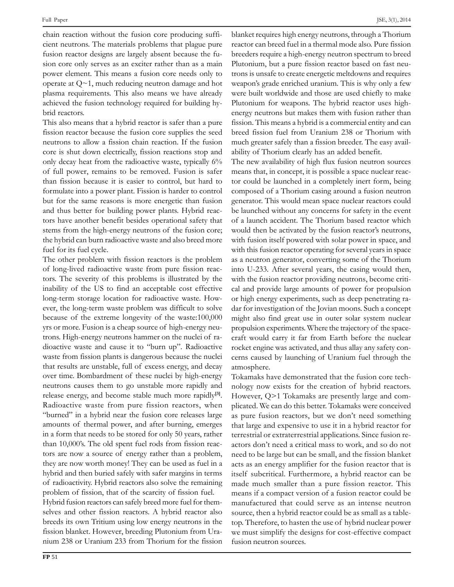reaction without the fusion core producing suffi- cientreaction without the fusion core producing suffi-<br>neutrons. The materials problems that plague pure reacte Fusion reactor designs are largely absent because the fu-<br>fusion reactor designs are largely absent because the fufusion reactor designs are largely absent because the fupower element. This means a fusion core needs only to trons is power element. This means a fusion core needs only to tro<br>operate at  $O \sim 1$ , much reducing neutron damage and hot we p<br>operate at  $Q \sim 1$ , much reducing neutron damage and hot weap<br>plasma requirements. This also means we have already were plasma requirements. This also means we have already we<br>achieved the fusion technology required for building hyachieved the fusion technology required for building hybrid reactors.

Full Paper

brid reactors.<br>This also means that a hybrid reactor is safer than a pure fission<br>fission reactor because the fusion core supplies the seed breed fission reactor because the fusion core supplies the seed<br>neutrons to allow a fission chain reaction. If the fusion much a neutrons to allow a fission chain reaction. If the fusion much a<br>core is shut down electrically, fission reactions stop and ability only decay heat from the radioactive waste, typically 6% The new availability of The new availability decay heat from the radioactive waste, typically 6% The new availability only decay heat from the radioactive waste, typically 6% The<br>of full power, remains to be removed. Fusion is safer mea of full power, remains to be removed. Fusion is safer means<br>than fission because it is easier to control, but hard to tor cou than fission because it is easier to control, but hard to to<br>formulate into a power plant. Fission is harder to control co formulate into a power plant. Fission is harder to control compo<br>but for the same reasons is more energetic than fusion general and thus better for building power plants. Hybrid reac-<br>and thus better for building power plants. Hybrid reacand thus better for building power plants. Hybrid reac-<br>tors have another benefit besides operational safety that tors have another benefit besides operational safety that of the fusion core; when the high-energy neutrons of the fusion core; the form the high-energy neutrons of the fusion core; would<br>the hybrid can burn radioactive waste and also breed more with the hybrid can burn radio<br>fuel for its fuel cycle.

other problem with fission reactors is the problem<br>The other problem with fission reactors is the problem as a neutron<br>of long-lived radioactive waste from pure fission reac-<br>into U-233. the state present that assess calculate to the present that is of<br>of long-lived radioactive waste from pure fission reactions.<br>The severity of this problems is illustrated by the with Figure 2 and the US to find an acceptable cost effective cal at a called the US to find an acceptable cost effective cal at locate the coverage location for radioactive waste. How-<br>long-term storage location for radioactive waste. Howlong-term storage location for radioactive was te. Howbecause of the extreme longevity of the waste:100,000 might yrs, are easy cannot make present that an<br>extend to extreme longevity of the waste:100,000<br>wrs or more. Fusion is a cheap source of high-energy neutransection of the character energy of the nuclei estate in the new states of the process of high-energy neutrons. High-energy neutrons hammer on the nuclei of ratrons. High-energy neutrons hammer on the nuclei of radioactive waste and cause it to "burn up". Radioactive that results are unstable, full of excess energy, and decay atmosphere that results are unstable, full of excess energy, and decay atmo over time. Bombardment of these nuclei by high-energy and decay<br>over time. Bombardment of these nuclei by high-energy Toka net counter the uncented the uncented them to go unstable more rapidly and noloos<br>neutrons causes them to go unstable more rapidly and noloos release energy, and become stable much more rapidly and no<br>release energy, and become stable much more rapidly<sup>[3]</sup>. He release energy, and become stable much more rapidly<sup>[3]</sup>. However, Radioactive waste from pure fission reactors, when plicate France Energy, and account state means increased in plicate<br>Radioactive waste from pure fission reactors, when plicate<br>"burned" in a hybrid near the fusion core releases large as pu amounts of thermal power, and after burning, emerges that<br>amounts of thermal power, and after burning, emerges that Example the analysis team are exactle over example angles and a<br>in a form that needs to be stored for only 50 years, rather than 10,000's. The old spent fuel rods from fission reac-<br>than 10,000's. The old spent fuel rods from fission reacthan 10,000's. The old spent fuel rods from fission reactors are now a source of energy rather than a problem. tors are now a source of energy rather than a problem, they are now worth money! They can be used as fuel in a acts<br>hybrid and then buried safely with safer margins in terms itsel of radioactivity. Hybrid reactors also solve the remaining made<br>of radioactivity. Hybrid reactors also solve the remaining made problem of fission, that of the scarcity of fission fuel.<br>
problem of fission, that of the scarcity of fission fuel. problem of fission, that of the scarcity of fission fuel.

Hybrid fusion reactors can safely breed more fuel for thembetween the contractors in the contract of the contract of the selves and other fission reactors. A hybrid reactor also source breeds its own Tritium using low energy neutrons in the top. breeds its own Tritium using low energy neutrons in the top. The fission blanket. However, breeding Plutonium from Urafission blanket. However, breeding Plutonium from Ura-<br>nium 238 or Uranium 233 from Thorium for the fission fusion neutron sources.

JSE, 3(1), 2014<br>blanket requires high energy neutrons, through a Thorium<br>reactor can breed fuel in a thermal mode also. Pure fission breeders require a high-energy neutron spectrum to breeders require a high-energy neutron spectrum to breed Plutonium, but a pure fission reactor based on fast neu-<br>Plutonium, but a pure fission reactor based on fast neu-Plutonium, but a pure fission reactor based on fast neu-<br>trons is unsafe to create energetic meltdowns and requires trons is unsafe to create energetic meltdowns and requires weapon's grade enriched uranium. This is why only a few<br>were built worldwide and those are used chiefly to make were built worldwide and those are used chiefly to make<br>Plutonium for weapons. The hybrid reactor uses high-Plutonium for weapons. The hybrid reactor uses highenergy neutrons but makes them with fusion rather than<br>fission. This means a hybrid is a commercial entity and can fission. This means a hybrid is a commercial entity and can<br>breed fission fuel from Uranium 238 or Thorium with breed fission fuel from Uranium 238 or Thorium with<br>much greater safely than a fission breeder. The easy availmuch greater safely than a fission breeder. The easy availability of Thorium clearly has an added benefit.

new availability of Thorium clearly has an added benefit.<br>The new availability of high flux fusion neutron sources<br>means that, in concept, it is possible a space nuclear reacmeans that, in concept, it is possible a space nuclear reac-<br>tor could be launched in a completely inert form, being for could be launched in a completely inert form, being<br>composed of a Thorium casing around a fusion neutron composed of a Thorium casing around a fusion neutron<br>generator. This would mean space nuclear reactors could be launched without any concerns for safety in the event<br>be launched without any concerns for safety in the event be launched without any concerns for safety in the event<br>of a launch accident. The Thorium based reactor which of a launch accident. The Thorium based reactor which would then be activated by the fusion reactor's neutrons, with fusion itself powered with solar power in space, and and these taster powered with some power in space<br>with this fusion reactor operating for several years in space<br>as a neutron generator, converting some of the Thorium as a neutron generator, converting some of the Thorium<br>into U-233. After several years, the casing would then, into U-233. After several years, the casing would then, with the fusion reactor providing neutrons, become critical and provide large amounts of power for propulsion<br>or high energy experiments, such as deep penetrating raor high energy experiments, such as deep penetrating radar for investigation of the Jovian moons. Such a concept<br>might also find great use in outer solar system nuclear might also find great use in outer solar system nuclear<br>propulsion experiments. Where the trajectory of the spacepropulsion experiments. Where the trajectory of the space $r^2$  craft would carry it far from Earth before the nuclear rocket engine was activated, and thus allay any safety conrocket engine was activated, and thus allay any safety concerns caused by launching of Uranium fuel through the atmosphere. hatmosphere.<br>Tokamaks have demonstrated that the fusion core tech-

Tokamaks have demonstrated that the fusion core tech-<br>nology now exists for the creation of hybrid reactors. nology now exists for the creation of hybrid reactors. However,  $Q$ >1 Tokamaks are presently large and complicated. We can do this better. Tokamaks were conceived<br>as pure fusion reactors, but we don't need something as pure fusion reactors, but we don't need something<br>that large and expensive to use it in a hybrid reactor for that large and expensive to use it in a hybrid reactor for<br>terrestrial or extraterrestrial applications. Since fusion reterrestrial or extraterrestrial applications. Since fusion reneed to be large but can be small, and the fission blanket acts as an energy amplifier for the fusion reactor that is<br>acts as an energy amplifier for the fusion reactor that is itself subcritical. Furthermore, a hybrid reactor can be<br>itself subcritical. Furthermore, a hybrid reactor can be made much smaller than a pure fission reactor. This<br>made much smaller than a pure fission reactor. This made much smaller than a pure fission reactor. This<br>means if a compact version of a fusion reactor could be manufactured that could serve as an intense neutron manufactured that could serve as an intense neutron manufactured that could serve as an intense reutron<br>source, then a hybrid reactor could be as small as a table-<br>top. Therefore, to hasten the use of hybrid nuclear power top. Therefore, to hasten the use of hybrid nuclear power From the control of the destruction neutron sources.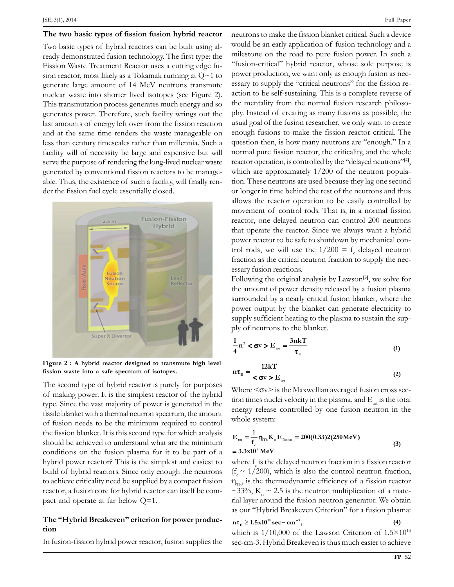ISE, 3(1), 2014<br> **The two basic types of fission fusion hybrid reactor** neu<br>
Two basic types of hybrid reactors can be built using al-Two basic types of hybrid reactors can be built using al-Fission Waste Treatment Reactor uses a cutting edge fu-<br>Fission Waste Treatment Reactor uses a cutting edge fu-Fission Waste Treatment Reactor uses a cutting edge fu-FREED WAS CONSIDENT TRANSFERING A CALLING UP ON POWER SHOWS SERVICE AND SERVICE AND SERVICE THE UP OF THE UP ON THE UP OF THE UP OF THE UP OF THE UP OF THE UP OF THE UP OF THE UP OF THE UP OF THE UP OF THE UP OF THE UP OF generate large amount of 14 MeV neutrons transmute<br>nuclear waste into shorter lived isotopes (see Figure 2). nuclear waste into shorter lived isotopes (see Figure 2). This transmutation process generates much energy and so the numerates power. Therefore, such facility wrings out the phy Figure and anti-manufacture process generates materials energy left over from the fission reaction usual g<br>last amounts of energy left over from the fission reaction usual g and at the same time renders the waste manageable on enough<br>and at the same time renders the waste manageable on enough and at the same time renders the waste manageable on enoughs than century timescales rather than millennia. Such a quest facility will of necessity be large and expensive but will necessity be large and expensive but will serve the purpose of rendering the long-lived nuclear waster and reserve the purpose of rendering the long-lived nuclear waster example and expenditive batch.<br>Serve the purpose of rendering the long-lived nuclear waste<br>generated by conventional fission reactors to be managegenerated by conventional fission reactors to be manageable. Thus, the existence of such a facility, will finally render the fission fuel cycle essentially closed.



**<sup>2</sup> :A hybrid reactor designed to transmute high level fission waste into <sup>a</sup> safe spectrum of isotopes.** The

fission waste into a safe spectrum of isotopes.  $n\tau_E$  =<br>The second type of hybrid reactor is purely for purposes<br>of making power. It is the simplest reactor of the hybrid Where the cooler type of type call the vast majority of power is generated in the tion  $t$  tion  $t$ type. Since the vast majority of power is generated in the tion<br>fissile blanket with a thermal neutron spectrum, the amount  $\frac{1}{2}$  first fusion needs to be the minimum required to control the fission blanket. It is this second type for which analysis <br>the fission blanket. It is this second type for which analysis should be achieved to understand what are the minimum<br>should be achieved to understand what are the minimum should be achieved to understand what are the minimum conditions on the fusion plasma for it to be part of  $a = 3.3x1$ <br>hybrid power reactor? This is the simplest and easiest to where build power reactor? This is the simplest and easiest to whe<br>build of hybrid reactors. Since only enough the neutrons ( $f \sim$ to achieve criticality need be supplied by a compact fusion  $n_{\text{max}}$  is to achieve criticality need be supplied by a compact fusion  $n_{\text{tr}}$ <br>reactor, a fusion core for hybrid reactor can itself be comreactor, a fusion core for hybrid reactor can itself be com-<br>pact and operate at far below Q=1.

## **ìHybrid Breakevenî criterion for power produc-tion**tion

In fusion-fission hybrid power reactor, fusion supplies the sec-cm-3. Hybrid Breakeven is thus much easier to achieve

would be an early application of fusion technology and a<br>milestone on the road to pure fusion-power. In such a milestone on the road to pure fusion power. In such a "fusion-critical" hybrid reactor, whose sole purpose is<br>power production, we want only as enough fusion as necpower production, we want only as enough fusion as necessary to supply the "critical neutrons" for the fission reaction to be self-sustaining. This is a complete reverse of the mentality from the normal fusion research philosothe mentality from the normal fusion research philosophy. Instead of creating as many fusions as possible, the enough fusions to make the fission reactor critical. The  $q$  enough fusions to make the fission reactor critical. The question then, is how many neutrons are "enough." In a question then, is how many neutrons are "enough." In a<br>normal pure fission reactor, the criticality, and the whole process every to the *many* secure are consegnation in<br>normal pure fission reactor, the criticality, and the whole<br>reactor operation, is controlled by the "delayed neutrons"<sup>141</sup>. reactor operation, is controlled by the "delayed neutrons" $[4]$ ,<br>which are approximately  $1/200$  of the neutron populawhich are approximately  $1/200$  of the neutron popula-<br>tion. These neutrons are used because they lag one second or longer in time behind the rest of the neutrons and thus<br>or longer in time behind the rest of the neutrons and thus or longer in time behind the rest of the neutrons and thus<br>allows the reactor operation to be easily controlled by allows the reactor operation to be easily controlled by<br>movement of control rods. That is, in a normal fission movement of control rods. That is, in a normal fission<br>reactor, one delayed neutron can control 200 neutrons that operate the reactor. Since we always want a hybrid power reactor. Since we always want a hybrid<br>power reactor to be safe to shutdown by mechanical conpower reactor to be safe to shutdown by mechanic<br>trol rods, we will use the  $1/200 = f$  delayed to cpower reactor to be safe to shutdown by mechanical control rods, we will use the  $1/200 = f_c$  delayed neutron fraction as the critical neutron fraction to supply the necfraction as the critical neutron fraction to su

essary fusion reactions.<br>Following the original analysis by Lawson<sup>[5]</sup>, we solve for<br>the amount of power density released by a fusion plasma the amount of power density released by a fusion plasma<br>surrounded by a nearly critical fusion blanket, where the power output by a nearly critical fusion blanket, where the power output by the blanket can generate electricity to supply sufficient heating to the planket can generate electricity to supply sufficient heating to the plasma to sustain the supsupply sufficient heating to the plasma to sustain the sup-

by of neutrons to the blanket.

\n
$$
\frac{1}{4}n^{2} < \sigma v > E_{\text{tot}} = \frac{3nkT}{\tau_{\text{E}}}
$$
\n(1)

\n
$$
m\tau_{\text{E}} = \frac{12kT}{\tau_{\text{E}}}
$$

$$
n\tau_{E} = \frac{12kT}{<\sigma v > E_{tot}}
$$
 (2)  
Where  $\langle \sigma v \rangle$  is the Maxwellian averaged fusion cross section times nuclei velocity in the plasma, and E is the total

Where  $\langle \sigma v \rangle$  is the Maxwellian averaged fusion cross section times nuclei velocity in the plasma, and  $E_{tot}$  is the total energy release controlled by one fusion neutron in the energy release controlled by one fusion neutron in the **K1E** $\log$ 

whole system:  
\n
$$
E_{\text{tot}} = \frac{1}{f_c} \eta_{\text{Th}} K_{\text{n}} E_{\text{fission}} = 200(0.33)2(250 \text{MeV})
$$
\n
$$
= 3.3 \times 10^4 \text{ MeV}
$$
\n(3)

 $= 3.3 \times 10^{4}$  MeV<br>where f is the delayed neutron fraction in a fission reactor  $\sim 1/\epsilon$ where  $f_c$  is the delayed neutron fraction in a fission reactor ( $f_c \sim 1/200$ ), which is also the control neutron fraction,  $(f_c \sim 1/200)$ , which is also the control neutron fraction,<br>m<sub>nn</sub>, is the thermodynamic efficiency of a fission reactor  $n_{\text{Th}}$  is the thermodynamic efficiency of a fission reactor  $\sim$ 33%, K<sub>n</sub>  $\sim$  2.5 is the neutron multiplication of a mate-~33%, K  $\sim$  2.5 is the neutron multiplication of a material layer around the fusion neutron generator. We obtain<br>as our "Hybrid Breakeven Criterion" for a fusion plasma: **1.5x10 sec cm ,**  $\frac{3}{2}$  **E**  $\frac{400}{2}$  **E**  $\frac{1}{2}$ as our "Hybrid Breakeven Criterion" for a fusion plasma:<br> $n\tau_{\rm c} \ge 1.5 \times 10^{10} \text{ sec} - \text{cm}^{-3}$ .

$$
n\tau_{E} \ge 1.5x10^{10} \text{ sec} - \text{cm}^{-3}, \qquad (4)
$$

 $n\tau_E \ge 1.5 \times 10^{10} \text{ sec-cm}^{-3}$ , (4)<br>which is 1/10,000 of the Lawson Criterion of  $1.5 \times 10^{14}$ <br>sec-cm-3. Hybrid Breakeven is thus much easier to achieve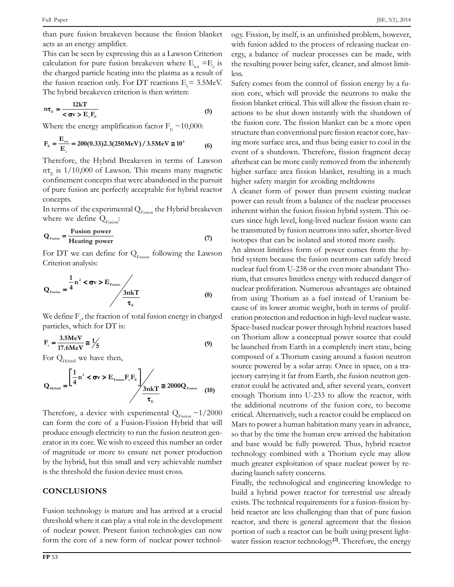Full Paper<br>than pure fusion breakeven because the fission blanket og<br>acts as an energy amplifier.

acts as an energy amplifier. with the second system of the second state of  $\frac{1}{2}$  with ft This can be seen by expressing this as a Lawson Criterion ergy, a calculation for pure fusion breakeven where  $E = E$  is the res This can be seen by expressing this as a Lawson Criterion erg<br>calculation for pure fusion breakeven where  $E_{tot} = E_e$  is the<br>the charged particle heating into the plasma as a result of less the charged particle heating into the plasma as a result of left<br>the fusion reaction only. For DT reactions  $E = 3.5$ MeV. the fusion reaction only. For DT reactions  $E = 3.5$ MeV.

The hybrid breakdown criterion is then written:  
\n
$$
n\tau_{E} = \frac{12kT}{<\sigma v > E_{c}F_{E}}
$$
\nWhere the energy amplification factor  $F_{E} \sim 10,000$ :

Where the energy amplification factor 
$$
F_E \sim 10,000
$$
:  
\n
$$
F_E = \frac{E_{tot}}{E_c} = 200(0.33)2.3(250 \text{MeV}) / 3.5 \text{MeV} \approx 10^4 \tag{6}
$$

 $t_E = \frac{F_E}{E_c} = 200(0.55)2.5(250 \text{MeV})$  (6) event of Lawson after the Hybrid Breakeven in terms of Lawson after the nt is 1/10.000 of Lawson. This means many magnetic higher  $n\tau_E$  is  $1/10,000$  of Lawson. This means many magnetic higher confinement concepts that were abandoned in the pursuit  $\frac{m_{\text{E}}}{m_{\text{E}}}$  and  $\frac{m_{\text{E}}}{m_{\text{E}}}$  are perfectly acceptable for hybrid reactor and high of pure fusion are perfectly acceptable for hybrid reactor. comments<br>of ours fi concepts. the experimental  $\overline{Q}$  and  $\overline{Q}$  and  $\overline{Q}$  and  $\overline{Q}$  are  $\overline{Q}$  and  $\overline{Q}$  and  $\overline{Q}$  are  $\overline{Q}$  and  $\overline{Q}$  are  $\overline{Q}$  and  $\overline{Q}$  are  $\overline{Q}$  and  $\overline{Q}$  are  $\overline{Q}$  and  $\overline{Q}$  and  $\overline{Q}$  the

 $\frac{1}{\pi}$  of the experime<br>we define  $Q_{\pi}$ : where we define  $Q_{Fusion}$ :

$$
Q_{Fusion} = \frac{Fusion power}{Heating power}
$$
 (7)

 $\mathbf{Q}_{\text{Fusion}}$  –  $\frac{1}{\text{Heating power}}$  (7) isotope<br>For DT we can define for  $Q_{\text{Fusion}}$  following the Lawson and An alm<br>Criterion analysis: **1**

Carteron analysis:

\n
$$
Q_{\text{fusion}} = \frac{1}{4} n^2 < \sigma v > E_{\text{Fusion}} \left( \frac{3nk}{\tau_{\text{E}}} \right) \tag{8}
$$

 $\tau_{\text{e}}$  cause  $\tau_{\text{e}}$ <br>
We define  $F_e$ , the fraction of total fusion energy in charged eration<br>
particles, which for DT is: **13.5**  $\frac{1}{2}$ 

particles, which for DT is:  
\n
$$
F_e = \frac{3.5MeV}{17.6MeV} \approx \frac{1}{5}
$$
\n(9)  
\nFor Q<sub>Hvbrid</sub> we have then,

**n**<br>**11** 

For 
$$
Q_{Hybrid}
$$
 we have then,  
\n
$$
Q_{Hybrid} = \frac{\left[\frac{1}{4}n^2 < \sigma v > E_{Fusion}F_cF_E\right]}{\sigma_E} \times 2000Q_{Fusion} \tag{10}
$$

Therefore, a device with experimental  $Q_{Fusion} \sim 1/2000$  the according the core of a Fusion-Fission Hybrid that will March  $\frac{1}{2}$  can form the core of a Fusion-Fission Hybrid that will Marcoduce enough electricity to run the fusion neutron genproduce enough electricity to run the fusion neutron generator in its core. We wish to exceed this number an order and band band to magnitude or more to ensure net power production by the hybrid, but this small and very achievable number and tech<br>by the hybrid, but this small and very achievable number by the hybrid, but this small and very achievable<br>is the threshold the fusion device must cross. **CONCLUSIONS**

## Fusion

Example 2014<br>
Fusion technology is mature and has arrived at a crucial bri<br>
threshold where it can play a vital role in the development threshold where it can play a vital role in the development<br>of nuclear power. Present fusion technologies can now form the core of a new form of nuclear power technologies can now<br>form the core of a new form of nuclear power technol-

رہ<br>the i  $SSE$ , 3(1), 2014<br>ogy. Fission, by itself, is an unfinished problem, however, ogy. Fission, by itself, is an unfinished problem, however,<br>with fusion added to the process of releasing nuclear enwith fusion added to the process of releasing nuclear enthe result in all the result of the processes can be made, with the resulting power being safer, cleaner, and almost limitless  $\frac{1}{s}$  comes from the control of fission energy by a fu-

y comes from the control of fission energy by a fu-<br>core, which will provide the neutrons to make the fixed by the sign of the methods of the sign of the fission blanket critical. This will allow the fission chain refission blanket critical. This will allow the fission chain reactions to be shut down instantly with the shutdown of<br>the fusion core. The fission blanket can be a more open the fusion core. The fission blanket can be a more open<br>structure than conventional pure fission reactor core, havstructure than conventional pure fission reactor core, having more surface area, and thus being easier to cool in the event of a shutdown. Therefore, fission fragment decay anguiser can be more easily removed from the inherently<br>afterheat can be more easily removed from the inherently afterheat can be more easily removed from the inherently<br>higher surface area fission blanket, resulting in a much higher surface area fission blanket, resulting in a n<br>higher safety margin for avoiding meltdowns A cleaner form of power than present existing nuclear<br>A cleaner form of power than present existing nuclear

A cleaner form of power than present existing nuclear<br>power can result from a balance of the nuclear processes From the function fission function the fusion function of the nuclear processes<br>inherent within the fusion fission hybrid system. This ocinherent within the fusion fission hybrid system. This occurs since high level, long-lived nuclear fission waste can<br>be transmuted by fusion neutrons into safer, shorter-lived isotopes that can be isolated and stored more easily. isotopes that can be isolated and stored more easily.

the additional neutrons of the fusion core, to become<br>the additional neutrons of the fusion core, to become An almost limitless form of power comes from the hynuclear function comes to provide the even more abundant Tho-<br>nuclear fuel from U-238 or the even more abundant Thonuclear fuel from U-238 or the even more abundant Thonuclear proliferation. Numerous advantages are obtained<br>nuclear proliferation. Numerous advantages are obtained From using Thorium as a fuel instead of Uranium be-<br>from using Thorium as a fuel instead of Uranium befrom using Thorium as a fuel instead of Uranium because of its lower atomic weight, both in terms of proliferation protection and reduction in high-level nuclear waste. space-based nuclear power through hybrid reactors based<br>on Thorium allow a conceptual power source that could be launched from Earth in a completely inert state, being<br>be launched from Earth in a completely inert state, being composed of a Thorium casing around a fusion neutron<br>composed of a Thorium casing around a fusion neutron source powered by a solar array. Once in space, on a tra-<br>source powered by a solar array. Once in space, on a trasource powered by a solar array. Once in space, on a tra-<br>iectory carrying it far from Earth, the fusion neutron genjectory carrying it far from Earth, the fusion neutron genend Thorium into U-233 to allow the reactor, with critical. Alternatively, such a reactor could be emplaced on Mars to power a human habitation many years in advance.<br>Mars to power a human habitation many years in advance. Mars to power a human habitation many years in advance, and base would be fully powered. Thus, hybrid reactor and base would be fully powered. Thus, hybrid reactor<br>technology combined with a Thorium cycle may allow technology combined with a Thorium cycle may allow much greater exploitation of space nuclear power by reducing launch safety concerns.

the technological and engineering knowledge to<br>Finally, the technological and engineering knowledge to<br>build a hybrid power reactor for terrestrial use already examples the connecting time engineering and medige to<br>build a hybrid power reactor for terrestrial use already<br>exists. The technical requirements for a fusion-fission hyexists. The technical requirements for a fusion-fission hy-**EXECUTE:** FIGURE 1.1 FIGURE 1.1 FIGURE 1.1 FIGURE 1.1 FIGURE 1.1 FIGURE 1.1 FIGURE 1.1 FIGURE 1.1 FIGURE 1.1 FIGURE 1.1 FIGURE 1.1 FIGURE 1.1 FIGURE 1.1 FIGURE 1.1 FIGURE 1.1 FIGURE 1.1 FIGURE 1.1 FIGURE 1.1 FIGURE 1.1 FI preactor, and there is general agreement that the fission<br>portion of such a reactor can be built using present lightfission reactor can be built using present light-<br>fission reactor technology<sup>[2]</sup>. Therefore, the energy